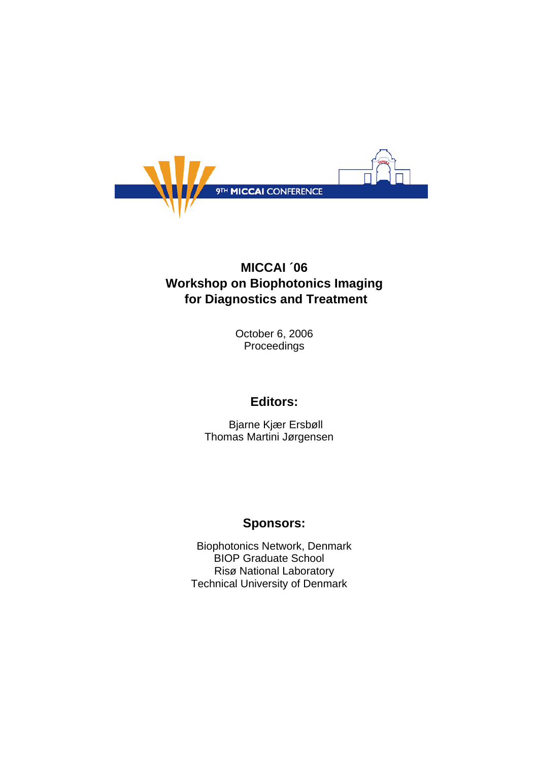

# **MICCAI ´06 Workshop on Biophotonics Imaging for Diagnostics and Treatment**

October 6, 2006 Proceedings

## **Editors:**

 Bjarne Kjær Ersbøll Thomas Martini Jørgensen

### **Sponsors:**

Biophotonics Network, Denmark BIOP Graduate School Risø National Laboratory Technical University of Denmark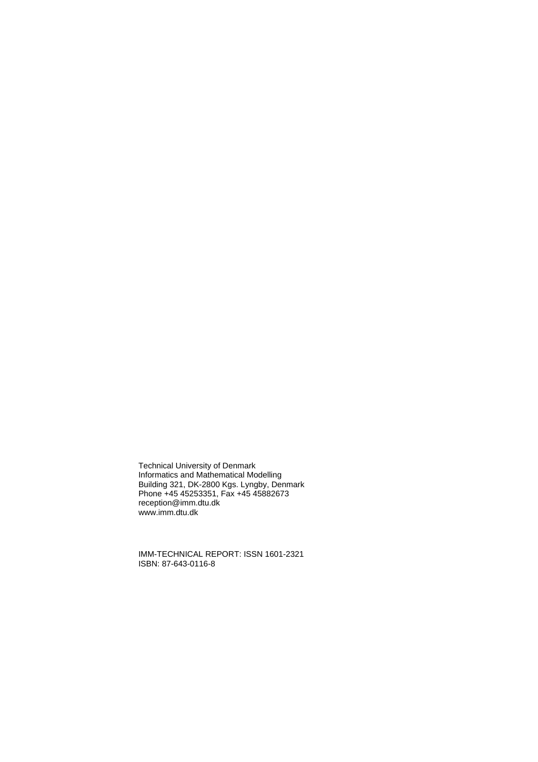Technical University of Denmark Informatics and Mathematical Modelling Building 321, DK-2800 Kgs. Lyngby, Denmark Phone +45 45253351, Fax +45 45882673 reception@imm.dtu.dk www.imm.dtu.dk

IMM-TECHNICAL REPORT: ISSN 1601-2321 ISBN: 87-643-0116-8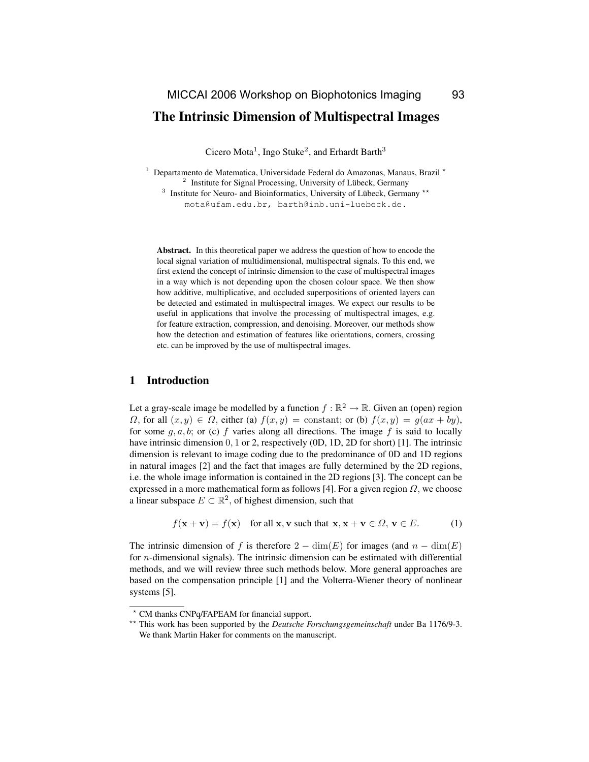### The Intrinsic Dimension of Multispectral Images

Cicero Mota<sup>1</sup>, Ingo Stuke<sup>2</sup>, and Erhardt Barth<sup>3</sup>

<sup>1</sup> Departamento de Matematica, Universidade Federal do Amazonas, Manaus, Brazil  $\star$  $2$  Institute for Signal Processing, University of Lübeck, Germany

<sup>3</sup> Institute for Neuro- and Bioinformatics, University of Lübeck, Germany \*\*

mota@ufam.edu.br, barth@inb.uni-luebeck.de.

Abstract. In this theoretical paper we address the question of how to encode the local signal variation of multidimensional, multispectral signals. To this end, we first extend the concept of intrinsic dimension to the case of multispectral images in a way which is not depending upon the chosen colour space. We then show how additive, multiplicative, and occluded superpositions of oriented layers can be detected and estimated in multispectral images. We expect our results to be useful in applications that involve the processing of multispectral images, e.g. for feature extraction, compression, and denoising. Moreover, our methods show how the detection and estimation of features like orientations, corners, crossing etc. can be improved by the use of multispectral images.

#### 1 Introduction

Let a gray-scale image be modelled by a function  $f : \mathbb{R}^2 \to \mathbb{R}$ . Given an (open) region  $\Omega$ , for all  $(x, y) \in \Omega$ , either (a)  $f(x, y) =$  constant; or (b)  $f(x, y) = g(ax + by)$ , for some  $q, a, b$ ; or (c) f varies along all directions. The image f is said to locally have intrinsic dimension 0, 1 or 2, respectively (0D, 1D, 2D for short) [1]. The intrinsic dimension is relevant to image coding due to the predominance of 0D and 1D regions in natural images [2] and the fact that images are fully determined by the 2D regions, i.e. the whole image information is contained in the 2D regions [3]. The concept can be expressed in a more mathematical form as follows [4]. For a given region  $\Omega$ , we choose a linear subspace  $E \subset \mathbb{R}^2$ , of highest dimension, such that

$$
f(\mathbf{x} + \mathbf{v}) = f(\mathbf{x}) \quad \text{for all } \mathbf{x}, \mathbf{v} \text{ such that } \mathbf{x}, \mathbf{x} + \mathbf{v} \in \Omega, \mathbf{v} \in E. \tag{1}
$$

The intrinsic dimension of f is therefore  $2 - \dim(E)$  for images (and  $n - \dim(E)$ ) for n-dimensional signals). The intrinsic dimension can be estimated with differential methods, and we will review three such methods below. More general approaches are based on the compensation principle [1] and the Volterra-Wiener theory of nonlinear systems [5].

<sup>?</sup> CM thanks CNPq/FAPEAM for financial support.

<sup>\*\*</sup> This work has been supported by the *Deutsche Forschungsgemeinschaft* under Ba 1176/9-3. We thank Martin Haker for comments on the manuscript.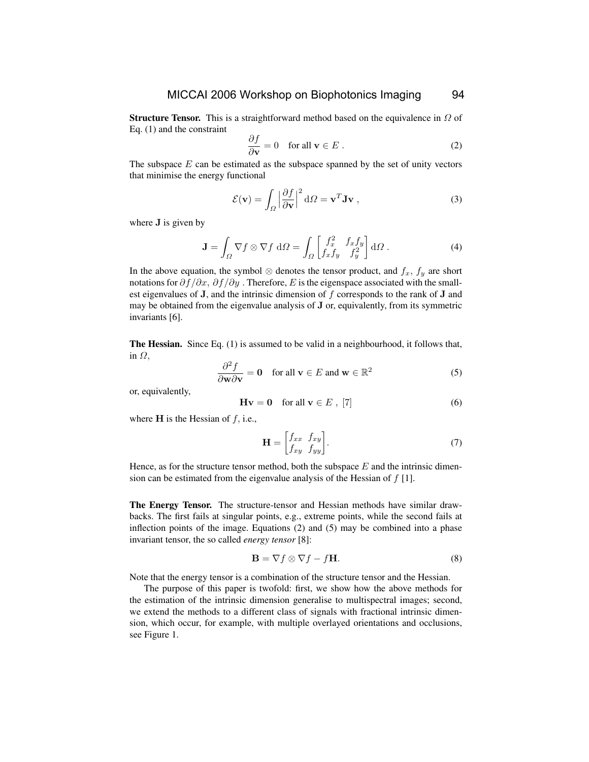**Structure Tensor.** This is a straightforward method based on the equivalence in  $\Omega$  of Eq. (1) and the constraint

$$
\frac{\partial f}{\partial \mathbf{v}} = 0 \quad \text{for all } \mathbf{v} \in E . \tag{2}
$$

The subspace  $E$  can be estimated as the subspace spanned by the set of unity vectors that minimise the energy functional

$$
\mathcal{E}(\mathbf{v}) = \int_{\Omega} \left| \frac{\partial f}{\partial \mathbf{v}} \right|^2 d\Omega = \mathbf{v}^T \mathbf{J} \mathbf{v} , \qquad (3)
$$

where **J** is given by

$$
\mathbf{J} = \int_{\Omega} \nabla f \otimes \nabla f \, d\Omega = \int_{\Omega} \begin{bmatrix} f_x^2 & f_x f_y \\ f_x f_y & f_y^2 \end{bmatrix} d\Omega \,. \tag{4}
$$

In the above equation, the symbol  $\otimes$  denotes the tensor product, and  $f_x$ ,  $f_y$  are short notations for  $\partial f / \partial x$ ,  $\partial f / \partial y$ . Therefore, E is the eigenspace associated with the smallest eigenvalues of  $J$ , and the intrinsic dimension of f corresponds to the rank of  $J$  and may be obtained from the eigenvalue analysis of J or, equivalently, from its symmetric invariants [6].

The Hessian. Since Eq. (1) is assumed to be valid in a neighbourhood, it follows that, in  $\Omega$ ,

$$
\frac{\partial^2 f}{\partial \mathbf{w} \partial \mathbf{v}} = \mathbf{0} \quad \text{for all } \mathbf{v} \in E \text{ and } \mathbf{w} \in \mathbb{R}^2 \tag{5}
$$

or, equivalently,

$$
\mathbf{H}\mathbf{v} = \mathbf{0} \quad \text{for all } \mathbf{v} \in E \text{ , } [7] \tag{6}
$$

where  $H$  is the Hessian of  $f$ , i.e.,

$$
\mathbf{H} = \begin{bmatrix} f_{xx} & f_{xy} \\ f_{xy} & f_{yy} \end{bmatrix} . \tag{7}
$$

Hence, as for the structure tensor method, both the subspace  $E$  and the intrinsic dimension can be estimated from the eigenvalue analysis of the Hessian of  $f[1]$ .

The Energy Tensor. The structure-tensor and Hessian methods have similar drawbacks. The first fails at singular points, e.g., extreme points, while the second fails at inflection points of the image. Equations (2) and (5) may be combined into a phase invariant tensor, the so called *energy tensor* [8]:

$$
\mathbf{B} = \nabla f \otimes \nabla f - f\mathbf{H}.
$$
 (8)

Note that the energy tensor is a combination of the structure tensor and the Hessian.

The purpose of this paper is twofold: first, we show how the above methods for the estimation of the intrinsic dimension generalise to multispectral images; second, we extend the methods to a different class of signals with fractional intrinsic dimension, which occur, for example, with multiple overlayed orientations and occlusions, see Figure 1.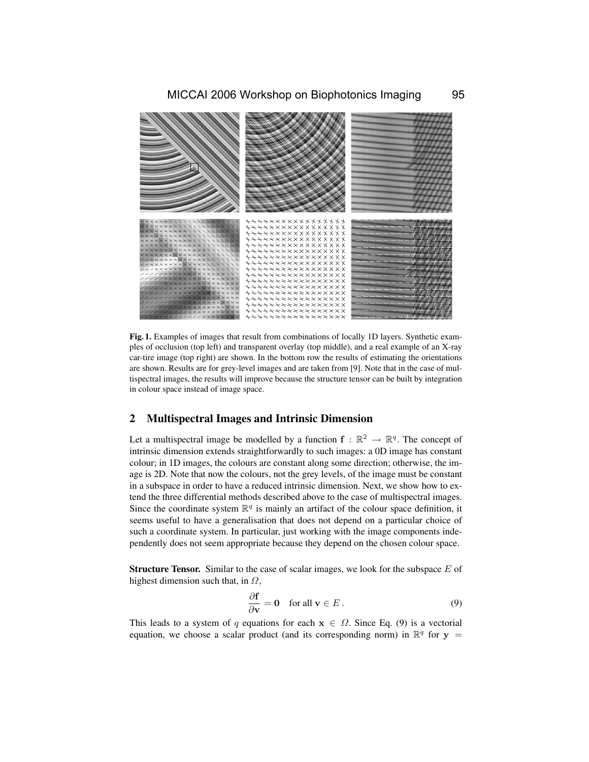

Fig. 1. Examples of images that result from combinations of locally 1D layers. Synthetic examples of occlusion (top left) and transparent overlay (top middle), and a real example of an X-ray car-tire image (top right) are shown. In the bottom row the results of estimating the orientations are shown. Results are for grey-level images and are taken from [9]. Note that in the case of multispectral images, the results will improve because the structure tensor can be built by integration in colour space instead of image space.

#### 2 Multispectral Images and Intrinsic Dimension

Let a multispectral image be modelled by a function  $f : \mathbb{R}^2 \to \mathbb{R}^q$ . The concept of intrinsic dimension extends straightforwardly to such images: a 0D image has constant colour; in 1D images, the colours are constant along some direction; otherwise, the image is 2D. Note that now the colours, not the grey levels, of the image must be constant in a subspace in order to have a reduced intrinsic dimension. Next, we show how to extend the three differential methods described above to the case of multispectral images. Since the coordinate system  $\mathbb{R}^q$  is mainly an artifact of the colour space definition, it seems useful to have a generalisation that does not depend on a particular choice of such a coordinate system. In particular, just working with the image components independently does not seem appropriate because they depend on the chosen colour space.

**Structure Tensor.** Similar to the case of scalar images, we look for the subspace  $E$  of highest dimension such that, in  $\Omega$ ,

$$
\frac{\partial \mathbf{f}}{\partial \mathbf{v}} = \mathbf{0} \quad \text{for all } \mathbf{v} \in E. \tag{9}
$$

This leads to a system of q equations for each  $x \in \Omega$ . Since Eq. (9) is a vectorial equation, we choose a scalar product (and its corresponding norm) in  $\mathbb{R}^q$  for  $y =$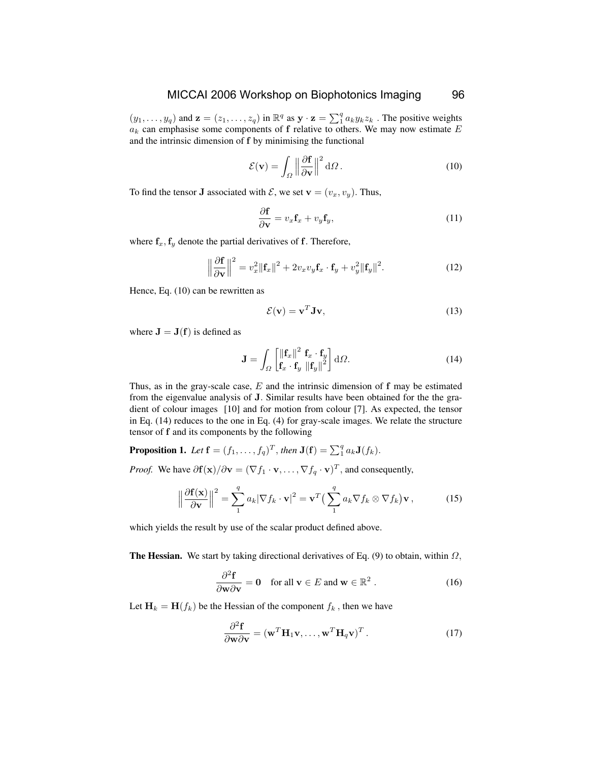$(y_1, \ldots, y_q)$  and  $\mathbf{z} = (z_1, \ldots, z_q)$  in  $\mathbb{R}^q$  as  $\mathbf{y} \cdot \mathbf{z} = \sum_{1}^{q} a_k y_k z_k$ . The positive weights  $a_k$  can emphasise some components of f relative to others. We may now estimate  $E$ and the intrinsic dimension of f by minimising the functional

$$
\mathcal{E}(\mathbf{v}) = \int_{\Omega} \left\| \frac{\partial \mathbf{f}}{\partial \mathbf{v}} \right\|^2 d\Omega.
$$
 (10)

To find the tensor **J** associated with  $\mathcal{E}$ , we set  $\mathbf{v} = (v_x, v_y)$ . Thus,

$$
\frac{\partial \mathbf{f}}{\partial \mathbf{v}} = v_x \mathbf{f}_x + v_y \mathbf{f}_y,\tag{11}
$$

where  $f_x, f_y$  denote the partial derivatives of f. Therefore,

$$
\left\|\frac{\partial \mathbf{f}}{\partial \mathbf{v}}\right\|^2 = v_x^2 \left\|\mathbf{f}_x\right\|^2 + 2v_x v_y \mathbf{f}_x \cdot \mathbf{f}_y + v_y^2 \left\|\mathbf{f}_y\right\|^2. \tag{12}
$$

Hence, Eq. (10) can be rewritten as

$$
\mathcal{E}(\mathbf{v}) = \mathbf{v}^T \mathbf{J} \mathbf{v},\tag{13}
$$

where  $J = J(f)$  is defined as

$$
\mathbf{J} = \int_{\Omega} \begin{bmatrix} ||\mathbf{f}_x||^2 & \mathbf{f}_x \cdot \mathbf{f}_y \\ \mathbf{f}_x \cdot \mathbf{f}_y & ||\mathbf{f}_y||^2 \end{bmatrix} d\Omega.
$$
 (14)

Thus, as in the gray-scale case,  $E$  and the intrinsic dimension of  $f$  may be estimated from the eigenvalue analysis of J. Similar results have been obtained for the the gradient of colour images [10] and for motion from colour [7]. As expected, the tensor in Eq. (14) reduces to the one in Eq. (4) for gray-scale images. We relate the structure tensor of f and its components by the following

**Proposition 1.** Let  $\mathbf{f} = (f_1, \ldots, f_q)^T$ , then  $\mathbf{J}(\mathbf{f}) = \sum_1^q a_k \mathbf{J}(f_k)$ .

*Proof.* We have  $\partial f(x)/\partial v = (\nabla f_1 \cdot v, \dots, \nabla f_q \cdot v)^T$ , and consequently,

$$
\left\|\frac{\partial \mathbf{f}(\mathbf{x})}{\partial \mathbf{v}}\right\|^2 = \sum_{1}^{q} a_k |\nabla f_k \cdot \mathbf{v}|^2 = \mathbf{v}^T \left(\sum_{1}^{q} a_k \nabla f_k \otimes \nabla f_k\right) \mathbf{v},\tag{15}
$$

which yields the result by use of the scalar product defined above.

**The Hessian.** We start by taking directional derivatives of Eq. (9) to obtain, within  $\Omega$ ,

$$
\frac{\partial^2 \mathbf{f}}{\partial \mathbf{w} \partial \mathbf{v}} = \mathbf{0} \quad \text{for all } \mathbf{v} \in E \text{ and } \mathbf{w} \in \mathbb{R}^2 \ . \tag{16}
$$

Let  $H_k = H(f_k)$  be the Hessian of the component  $f_k$ , then we have

$$
\frac{\partial^2 \mathbf{f}}{\partial \mathbf{w} \partial \mathbf{v}} = (\mathbf{w}^T \mathbf{H}_1 \mathbf{v}, \dots, \mathbf{w}^T \mathbf{H}_q \mathbf{v})^T.
$$
 (17)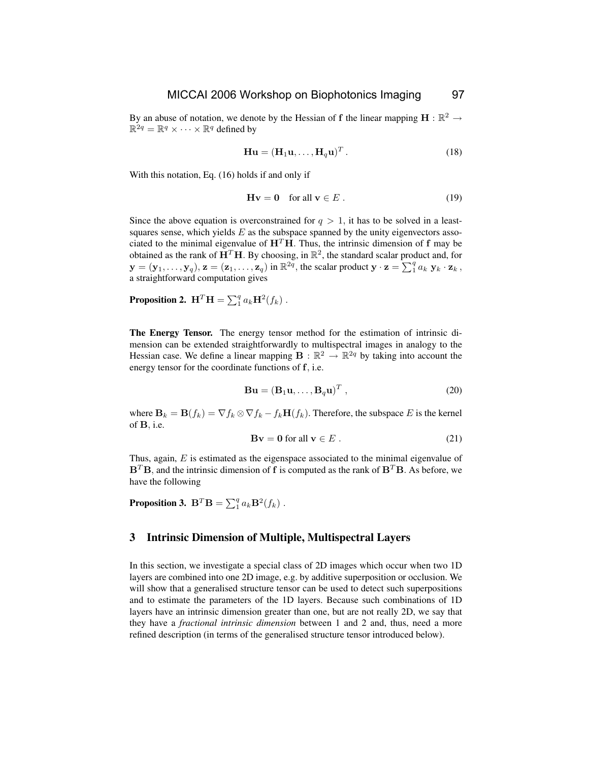By an abuse of notation, we denote by the Hessian of f the linear mapping  $\mathbf{H} : \mathbb{R}^2 \to$  $\mathbb{R}^{2q} = \mathbb{R}^q \times \cdots \times \mathbb{R}^q$  defined by

$$
\mathbf{Hu} = (\mathbf{H}_1 \mathbf{u}, \dots, \mathbf{H}_q \mathbf{u})^T.
$$
 (18)

With this notation, Eq. (16) holds if and only if

$$
\mathbf{H}\mathbf{v} = \mathbf{0} \quad \text{for all } \mathbf{v} \in E . \tag{19}
$$

Since the above equation is overconstrained for  $q > 1$ , it has to be solved in a leastsquares sense, which yields  $E$  as the subspace spanned by the unity eigenvectors associated to the minimal eigenvalue of  $H<sup>T</sup>H$ . Thus, the intrinsic dimension of f may be obtained as the rank of  $\mathbf{H}^T \mathbf{H}$ . By choosing, in  $\mathbb{R}^2$ , the standard scalar product and, for  $\mathbf{y} = (\mathbf{y}_1, \dots, \mathbf{y}_q), \mathbf{z} = (\mathbf{z}_1, \dots, \mathbf{z}_q)$  in  $\mathbb{R}^{2q}$ , the scalar product  $\mathbf{y} \cdot \mathbf{z} = \sum_{1}^{q} a_k \mathbf{y}_k \cdot \mathbf{z}_k$ , a straightforward computation gives

**Proposition 2.**  $\mathbf{H}^T \mathbf{H} = \sum_1^q a_k \mathbf{H}^2(f_k)$  .

The Energy Tensor. The energy tensor method for the estimation of intrinsic dimension can be extended straightforwardly to multispectral images in analogy to the Hessian case. We define a linear mapping  $\mathbf{B} : \mathbb{R}^2 \to \mathbb{R}^{2q}$  by taking into account the energy tensor for the coordinate functions of f, i.e.

$$
\mathbf{B}\mathbf{u} = (\mathbf{B}_1\mathbf{u}, \dots, \mathbf{B}_q\mathbf{u})^T , \qquad (20)
$$

where  $\mathbf{B}_k = \mathbf{B}(f_k) = \nabla f_k \otimes \nabla f_k - f_k \mathbf{H}(f_k)$ . Therefore, the subspace E is the kernel of B, i.e.

$$
\mathbf{B}\mathbf{v} = \mathbf{0} \text{ for all } \mathbf{v} \in E \tag{21}
$$

Thus, again,  $E$  is estimated as the eigenspace associated to the minimal eigenvalue of  $B<sup>T</sup>B$ , and the intrinsic dimension of f is computed as the rank of  $B<sup>T</sup>B$ . As before, we have the following

Proposition 3.  $\mathbf{B}^T \mathbf{B} = \sum_1^q a_k \mathbf{B}^2(f_k)$  .

#### 3 Intrinsic Dimension of Multiple, Multispectral Layers

In this section, we investigate a special class of 2D images which occur when two 1D layers are combined into one 2D image, e.g. by additive superposition or occlusion. We will show that a generalised structure tensor can be used to detect such superpositions and to estimate the parameters of the 1D layers. Because such combinations of 1D layers have an intrinsic dimension greater than one, but are not really 2D, we say that they have a *fractional intrinsic dimension* between 1 and 2 and, thus, need a more refined description (in terms of the generalised structure tensor introduced below).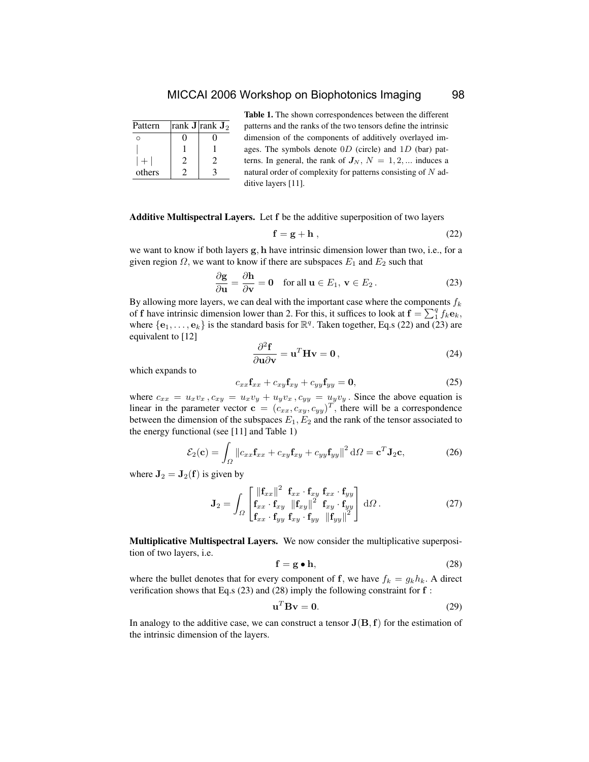### MICCAI 2006 Workshop on Biophotonics Imaging 98

| Pattern | rank <b>J</b>  rank $J_2$ |
|---------|---------------------------|
|         |                           |
|         |                           |
|         |                           |
| others  |                           |

Table 1. The shown correspondences between the different patterns and the ranks of the two tensors define the intrinsic dimension of the components of additively overlayed images. The symbols denote  $0D$  (circle) and  $1D$  (bar) patterns. In general, the rank of  $J_N$ ,  $N = 1, 2, ...$  induces a natural order of complexity for patterns consisting of  $N$  additive layers [11].

#### Additive Multispectral Layers. Let f be the additive superposition of two layers

$$
\mathbf{f} = \mathbf{g} + \mathbf{h} \tag{22}
$$

we want to know if both layers g, h have intrinsic dimension lower than two, i.e., for a given region  $\Omega$ , we want to know if there are subspaces  $E_1$  and  $E_2$  such that

$$
\frac{\partial \mathbf{g}}{\partial \mathbf{u}} = \frac{\partial \mathbf{h}}{\partial \mathbf{v}} = \mathbf{0} \quad \text{for all } \mathbf{u} \in E_1, \, \mathbf{v} \in E_2 \,. \tag{23}
$$

By allowing more layers, we can deal with the important case where the components  $f_k$ of f have intrinsic dimension lower than 2. For this, it suffices to look at  $\mathbf{f} = \sum_{1}^{q} f_k \mathbf{e}_k$ , where  $\{e_1, \ldots, e_k\}$  is the standard basis for  $\mathbb{R}^q$ . Taken together, Eq.s (22) and (23) are equivalent to [12]

$$
\frac{\partial^2 \mathbf{f}}{\partial \mathbf{u} \partial \mathbf{v}} = \mathbf{u}^T \mathbf{H} \mathbf{v} = \mathbf{0},\tag{24}
$$

which expands to

$$
c_{xx}\mathbf{f}_{xx} + c_{xy}\mathbf{f}_{xy} + c_{yy}\mathbf{f}_{yy} = \mathbf{0},\tag{25}
$$

where  $c_{xx} = u_x v_x$ ,  $c_{xy} = u_x v_y + u_y v_x$ ,  $c_{yy} = u_y v_y$ . Since the above equation is linear in the parameter vector  $\mathbf{c} = (c_{xx}, c_{xy}, c_{yy})^T$ , there will be a correspondence between the dimension of the subspaces  $E_1, E_2$  and the rank of the tensor associated to the energy functional (see [11] and Table 1)

$$
\mathcal{E}_2(\mathbf{c}) = \int_{\Omega} \|c_{xx}\mathbf{f}_{xx} + c_{xy}\mathbf{f}_{xy} + c_{yy}\mathbf{f}_{yy}\|^2 d\Omega = \mathbf{c}^T \mathbf{J}_2 \mathbf{c},\tag{26}
$$

where  $J_2 = J_2(f)$  is given by

$$
\mathbf{J}_2 = \int_{\Omega} \begin{bmatrix} ||\mathbf{f}_{xx}||^2 & \mathbf{f}_{xx} \cdot \mathbf{f}_{xy} & \mathbf{f}_{xx} \cdot \mathbf{f}_{yy} \\ \mathbf{f}_{xx} \cdot \mathbf{f}_{xy} & ||\mathbf{f}_{xy}||^2 & \mathbf{f}_{xy} \cdot \mathbf{f}_{yy} \\ \mathbf{f}_{xx} \cdot \mathbf{f}_{yy} & \mathbf{f}_{xy} \cdot \mathbf{f}_{yy} & ||\mathbf{f}_{yy}||^2 \end{bmatrix} d\Omega.
$$
 (27)

Multiplicative Multispectral Layers. We now consider the multiplicative superposition of two layers, i.e.

$$
\mathbf{f} = \mathbf{g} \bullet \mathbf{h},\tag{28}
$$

where the bullet denotes that for every component of f, we have  $f_k = g_k h_k$ . A direct verification shows that Eq.s  $(23)$  and  $(28)$  imply the following constraint for  $f$ :

$$
\mathbf{u}^T \mathbf{B} \mathbf{v} = \mathbf{0}.\tag{29}
$$

In analogy to the additive case, we can construct a tensor  $J(B, f)$  for the estimation of the intrinsic dimension of the layers.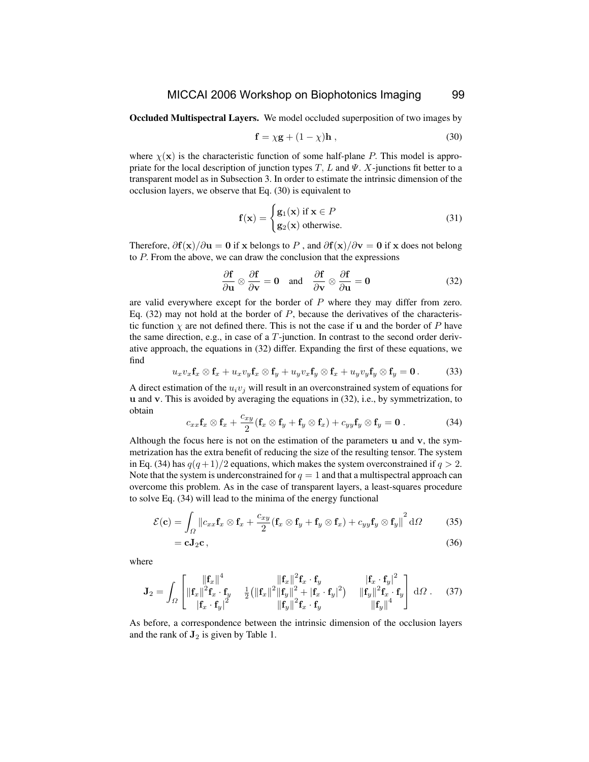#### MICCAI 2006 Workshop on Biophotonics Imaging 99

Occluded Multispectral Layers. We model occluded superposition of two images by

$$
\mathbf{f} = \chi \mathbf{g} + (1 - \chi) \mathbf{h} \,, \tag{30}
$$

where  $\chi(\mathbf{x})$  is the characteristic function of some half-plane P. This model is appropriate for the local description of junction types  $T, L$  and  $\Psi$ . X-junctions fit better to a transparent model as in Subsection 3. In order to estimate the intrinsic dimension of the occlusion layers, we observe that Eq. (30) is equivalent to

$$
\mathbf{f}(\mathbf{x}) = \begin{cases} \mathbf{g}_1(\mathbf{x}) & \text{if } \mathbf{x} \in P \\ \mathbf{g}_2(\mathbf{x}) & \text{otherwise.} \end{cases}
$$
 (31)

Therefore,  $\partial f(x)/\partial u = 0$  if x belongs to P, and  $\partial f(x)/\partial v = 0$  if x does not belong to P. From the above, we can draw the conclusion that the expressions

$$
\frac{\partial \mathbf{f}}{\partial \mathbf{u}} \otimes \frac{\partial \mathbf{f}}{\partial \mathbf{v}} = \mathbf{0} \quad \text{and} \quad \frac{\partial \mathbf{f}}{\partial \mathbf{v}} \otimes \frac{\partial \mathbf{f}}{\partial \mathbf{u}} = \mathbf{0}
$$
 (32)

are valid everywhere except for the border of  $P$  where they may differ from zero. Eq.  $(32)$  may not hold at the border of P, because the derivatives of the characteristic function  $\chi$  are not defined there. This is not the case if u and the border of P have the same direction, e.g., in case of a  $T$ -junction. In contrast to the second order derivative approach, the equations in (32) differ. Expanding the first of these equations, we find

$$
u_x v_x \mathbf{f}_x \otimes \mathbf{f}_x + u_x v_y \mathbf{f}_x \otimes \mathbf{f}_y + u_y v_x \mathbf{f}_y \otimes \mathbf{f}_x + u_y v_y \mathbf{f}_y \otimes \mathbf{f}_y = \mathbf{0}.
$$
 (33)

A direct estimation of the  $u_i v_j$  will result in an overconstrained system of equations for u and v. This is avoided by averaging the equations in (32), i.e., by symmetrization, to obtain

$$
c_{xx}\mathbf{f}_x \otimes \mathbf{f}_x + \frac{c_{xy}}{2}(\mathbf{f}_x \otimes \mathbf{f}_y + \mathbf{f}_y \otimes \mathbf{f}_x) + c_{yy}\mathbf{f}_y \otimes \mathbf{f}_y = \mathbf{0}.
$$
 (34)

Although the focus here is not on the estimation of the parameters u and v, the symmetrization has the extra benefit of reducing the size of the resulting tensor. The system in Eq. (34) has  $q(q+1)/2$  equations, which makes the system overconstrained if  $q > 2$ . Note that the system is underconstrained for  $q = 1$  and that a multispectral approach can overcome this problem. As in the case of transparent layers, a least-squares procedure to solve Eq. (34) will lead to the minima of the energy functional

$$
\mathcal{E}(\mathbf{c}) = \int_{\Omega} \left| c_{xx} \mathbf{f}_x \otimes \mathbf{f}_x + \frac{c_{xy}}{2} (\mathbf{f}_x \otimes \mathbf{f}_y + \mathbf{f}_y \otimes \mathbf{f}_x) + c_{yy} \mathbf{f}_y \otimes \mathbf{f}_y \right|^2 d\Omega \tag{35}
$$

$$
= cJ_2c , \t\t(36)
$$

where

$$
\mathbf{J}_2 = \int_{\Omega} \begin{bmatrix} \|\mathbf{f}_x\|^4 & \|\mathbf{f}_x\|^2 \mathbf{f}_x \cdot \mathbf{f}_y & \|\mathbf{f}_x \cdot \mathbf{f}_y\|^2 \\ \|\mathbf{f}_x\|^2 \mathbf{f}_x \cdot \mathbf{f}_y & \frac{1}{2} (\|\mathbf{f}_x\|^2 \|\mathbf{f}_y\|^2 + |\mathbf{f}_x \cdot \mathbf{f}_y|^2) & \|\mathbf{f}_y\|^2 \mathbf{f}_x \cdot \mathbf{f}_y \\ \|\mathbf{f}_x \cdot \mathbf{f}_y\|^2 & \|\mathbf{f}_y\|^2 \mathbf{f}_x \cdot \mathbf{f}_y & \|\mathbf{f}_y\|^4 \end{bmatrix} d\Omega \quad (37)
$$

As before, a correspondence between the intrinsic dimension of the occlusion layers and the rank of  $J_2$  is given by Table 1.